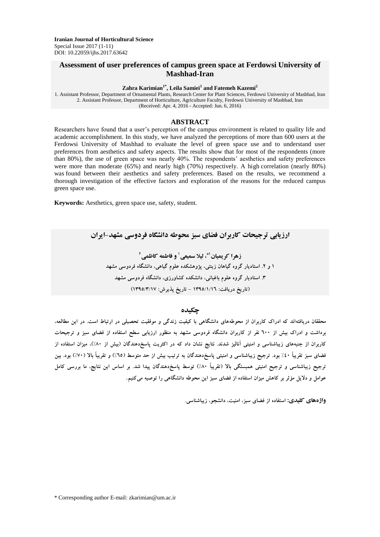## **Assessment of user preferences of campus green space at Ferdowsi University of Mashhad-Iran**

**Zahra Karimian1\* , Leila Samiei<sup>1</sup> and Fatemeh Kazemi<sup>2</sup>**

1. Assistant Professor, Department of Ornamental Plants, Research Center for Plant Sciences, Ferdowsi University of Mashhad, Iran 2. Assistant Professor, Department of Horticulture, Agriculture Faculty, Ferdowsi University of Mashhad, Iran (Received: Apr. 4, 2016 - Accepted: Jun. 6, 2016)

### **ABSTRACT**

Researchers have found that a user's perception of the campus environment is related to quality life and academic accomplishment. In this study, we have analyzed the perceptions of more than 600 users at the Ferdowsi University of Mashhad to evaluate the level of green space use and to understand user preferences from aesthetics and safety aspects. The results show that for most of the respondents (more than 80%), the use of green space was nearly 40%. The respondents' aesthetics and safety preferences were more than moderate (65%) and nearly high (70%) respectively. A high correlation (nearly 80%) was found between their aesthetics and safety preferences. Based on the results, we recommend a thorough investigation of the effective factors and exploration of the reasons for the reduced campus green space use.

**Keywords:** Aesthetics, green space use, safety, student.

**ارزيابي ترجيحات کاربران فضاي سبز محوطه دانشگاه فردوسي مشهد-ايران**

**و فاطمه کاظمي <sup>1</sup> ، ليال سميعي 1\* زهرا کريميان 2 1 و .2 استاديار گروه گياهان زينتي، پژوهشکده علوم گياهي، دانشگاه فردوسي مشهد .3 استاديار گروه علوم باغباني، دانشکده کشاورزي، دانشگاه فردوسي مشهد )تاريخ دريافت: 1395/1/16 - تاريخ پذيرش: 1395/3/17(**

#### **چکيده**

**محققان دريافتهاند که ادراک کاربران از محوطههاي دانشگاهي با کيفيت زندگي و موفقيت تحصيلي در ارتباط است. در اين مطالعه،** برداشت و ادراک بیش از ۲۰۰ نفر از کاربران دانشگاه فردوسی مشهد به منظور ارزیابی سطح استفاده از فضای سبز و ترجیحات کاربران از جنبههای زیباشناسی و امنیتی آنالیز شدند. نتایج نشان داد که در اکثریت پاسخدهندگان (بیش از ۸۰٪)، میزان استفاده از فضای سبز تقریباً ٤٠٪ بود. ترجیح زیباشناسی و امنیتی پاسخدهندگان به ترتیب بیش از حد متوسط (٦٥٪) و تقریباً بالا (٧٠٪) بود. بین ترجیح زیباشناسی و ترجیح امنیتی همبستگی بالا (تقریباً ۸۰٪) توسط پاسخ(هندگان پیدا شد. بر اساس این نتایج، ما بررسی کامل **عوامل و داليل مؤثر بر کاهش ميزان استفاده از فضاي سبز اين محوطه دانشگاهي را توصيه ميکنيم**.

**واژههاي کليدي: استفاده از فضاي سبز، امنيت، دانشجو، زيباشناسي.**

\* Corresponding author E-mail: zkarimian@um.ac.ir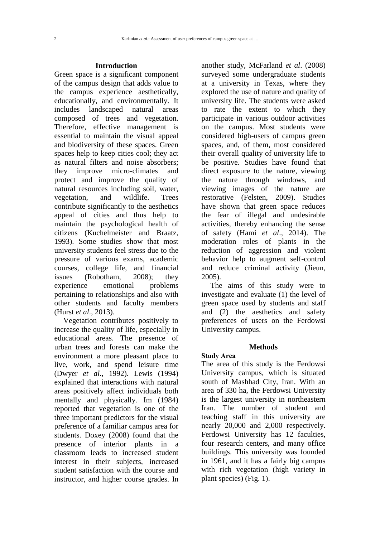### **Introduction**

Green space is a significant component of the campus design that adds value to the campus experience aesthetically, educationally, and environmentally. It includes landscaped natural areas composed of trees and vegetation. Therefore, effective management is essential to maintain the visual appeal and biodiversity of these spaces. Green spaces help to keep cities cool; they act as natural filters and noise absorbers; they improve micro-climates and protect and improve the quality of natural resources including soil, water, vegetation, and wildlife. Trees contribute significantly to the aesthetics appeal of cities and thus help to maintain the psychological health of citizens (Kuchelmeister and Braatz, 1993). Some studies show that most university students feel stress due to the pressure of various exams, academic courses, college life, and financial issues (Robotham, 2008); they experience emotional problems pertaining to relationships and also with other students and faculty members (Hurst *et al*., 2013).

Vegetation contributes positively to increase the quality of life, especially in educational areas. The presence of urban trees and forests can make the environment a more pleasant place to live, work, and spend leisure time (Dwyer *et al*., 1992). Lewis (1994) explained that interactions with natural areas positively affect individuals both mentally and physically. Im (1984) reported that vegetation is one of the three important predictors for the visual preference of a familiar campus area for students. Doxey (2008) found that the presence of interior plants in a classroom leads to increased student interest in their subjects, increased student satisfaction with the course and instructor, and higher course grades. In another study, McFarland *et al*. (2008) surveyed some undergraduate students at a university in Texas, where they explored the use of nature and quality of university life. The students were asked to rate the extent to which they participate in various outdoor activities on the campus. Most students were considered high-users of campus green spaces, and, of them, most considered their overall quality of university life to be positive. Studies have found that direct exposure to the nature, viewing the nature through windows, and viewing images of the nature are restorative (Felsten, 2009). Studies have shown that green space reduces the fear of illegal and undesirable activities, thereby enhancing the sense of safety (Hami *et al*., 2014). The moderation roles of plants in the reduction of aggression and violent behavior help to augment self-control and reduce criminal activity (Jieun, 2005).

The aims of this study were to investigate and evaluate (1) the level of green space used by students and staff and (2) the aesthetics and safety preferences of users on the Ferdowsi University campus.

## **Methods**

#### **Study Area**

The area of this study is the Ferdowsi University campus, which is situated south of Mashhad City, Iran. With an area of 330 ha, the Ferdowsi University is the largest university in northeastern Iran. The number of student and teaching staff in this university are nearly 20,000 and 2,000 respectively. Ferdowsi University has 12 faculties, four research centers, and many office buildings. This university was founded in 1961, and it has a fairly big campus with rich vegetation (high variety in plant species) (Fig. 1).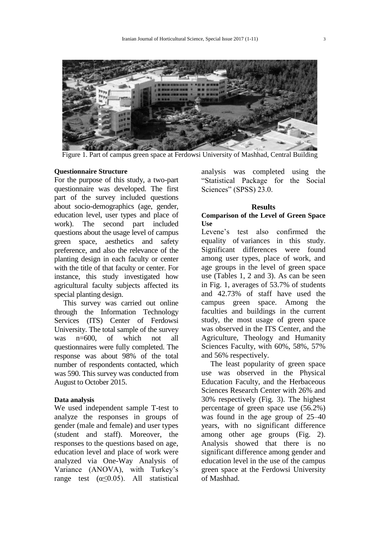



Figure 1. Part of campus green space at Ferdowsi University of Mashhad, Central Building

## **Questionnaire Structure**

For the purpose of this study, a two-part questionnaire was developed. The first part of the survey included questions about socio-demographics (age, gender, education level, user types and place of work). The second part included questions about the usage level of campus green space, aesthetics and safety preference, and also the relevance of the planting design in each faculty or center with the title of that faculty or center. For instance, this study investigated how agricultural faculty subjects affected its special planting design.

This survey was carried out online through the Information Technology Services (ITS) Center of Ferdowsi University. The total sample of the survey was n=600, of which not all questionnaires were fully completed. The response was about 98% of the total number of respondents contacted, which was 590. This survey was conducted from August to October 2015.

## **Data analysis**

We used independent sample T-test to analyze the responses in groups of gender (male and female) and user types (student and staff). Moreover, the responses to the questions based on age, education level and place of work were analyzed via One-Way Analysis of Variance (ANOVA), with Turkey's range test  $(\alpha \le 0.05)$ . All statistical analysis was completed using the "Statistical Package for the Social Sciences" (SPSS) 23.0.

## **Results**

## **Comparison of the Level of Green Space Use**

Levene's test also confirmed the equality of variances in this study. Significant differences were found among user types, place of work, and age groups in the level of green space use (Tables 1, 2 and 3). As can be seen in Fig. 1, averages of 53.7% of students and 42.73% of staff have used the campus green space. Among the faculties and buildings in the current study, the most usage of green space was observed in the ITS Center, and the Agriculture, Theology and Humanity Sciences Faculty, with 60%, 58%, 57% and 56% respectively.

The least popularity of green space use was observed in the Physical Education Faculty, and the Herbaceous Sciences Research Center with 26% and 30% respectively (Fig. 3). The highest percentage of green space use (56.2%) was found in the age group of 25–40 years, with no significant difference among other age groups (Fig. 2). Analysis showed that there is no significant difference among gender and education level in the use of the campus green space at the Ferdowsi University of Mashhad.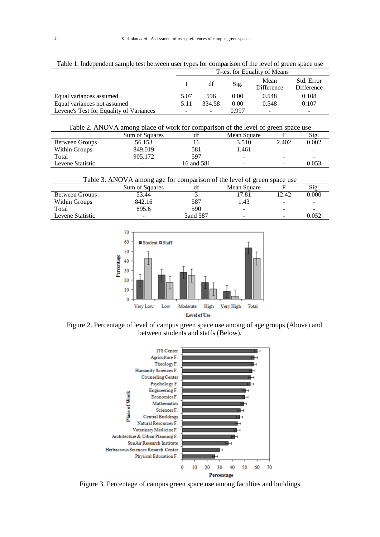|                                         | T-test for Equality of Means |        |       |                           |                                 |  |  |  |
|-----------------------------------------|------------------------------|--------|-------|---------------------------|---------------------------------|--|--|--|
|                                         |                              | df     | Sig.  | Mean<br><b>Difference</b> | Std. Error<br><b>Difference</b> |  |  |  |
| Equal variances assumed                 | 5.07                         | 596    | 0.00  | 0.548                     | 0.108                           |  |  |  |
| Equal variances not assumed             | 5.11                         | 334.58 | 0.00  | 0.548                     | 0.107                           |  |  |  |
| Levene's Test for Equality of Variances | -                            |        | 0.997 |                           | $\overline{\phantom{0}}$        |  |  |  |

Table 1. Independent sample test between user types for comparison of the level of green space use

| Table 2. ANOVA among place of work for comparison of the level of green space use |                |            |             |                          |       |  |  |  |
|-----------------------------------------------------------------------------------|----------------|------------|-------------|--------------------------|-------|--|--|--|
|                                                                                   | Sum of Squares | df         | Mean Square |                          | Sig.  |  |  |  |
| Between Groups                                                                    | 56.153         | 16.        | 3.510       | 2.402                    | 0.002 |  |  |  |
| Within Groups                                                                     | 849.019        | 581        | 1.461       | $\overline{\phantom{0}}$ |       |  |  |  |
| Total                                                                             | 905.172        | 597        |             | $\overline{\phantom{0}}$ |       |  |  |  |
| Levene Statistic                                                                  |                | 16 and 581 |             |                          | 0.053 |  |  |  |

Table 3. ANOVA among age for comparison of the level of green space use

|                  | Sum of Squares           | df       | Mean Square |                          | Sig.  |
|------------------|--------------------------|----------|-------------|--------------------------|-------|
| Between Groups   | 53.44                    |          | '7.81       | 12.42                    | 0.000 |
| Within Groups    | 842.16                   | 587      | 1.43        | $\overline{\phantom{a}}$ | -     |
| Total            | 895.6                    | 590      | ۰           | -                        | -     |
| Levene Statistic | $\overline{\phantom{a}}$ | 3and 587 | -           | $\overline{\phantom{0}}$ | 0.052 |



Figure 2. Percentage of level of campus green space use among of age groups (Above) and between students and staffs (Below).



Figure 3. Percentage of campus green space use among faculties and buildings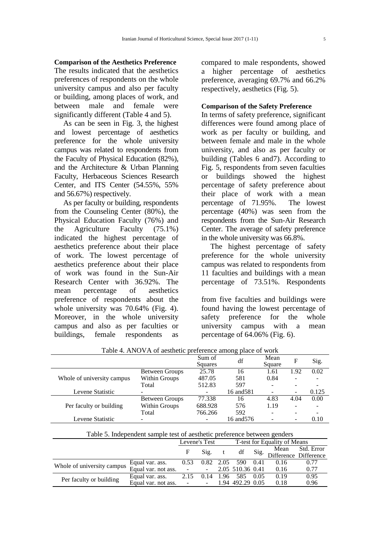### **Comparison of the Aesthetics Preference**

The results indicated that the aesthetics preferences of respondents on the whole university campus and also per faculty or building, among places of work, and between male and female were significantly different (Table 4 and 5).

As can be seen in Fig. 3, the highest and lowest percentage of aesthetics preference for the whole university campus was related to respondents from the Faculty of Physical Education (82%), and the Architecture & Urban Planning Faculty, Herbaceous Sciences Research Center, and ITS Center (54.55%, 55% and 56.67%) respectively.

As per faculty or building, respondents from the Counseling Center (80%), the Physical Education Faculty (76%) and the Agriculture Faculty (75.1%) indicated the highest percentage of aesthetics preference about their place of work. The lowest percentage of aesthetics preference about their place of work was found in the Sun-Air Research Center with 36.92%. The mean percentage of aesthetics preference of respondents about the whole university was 70.64% (Fig. 4). Moreover, in the whole university campus and also as per faculties or buildings, female respondents as

compared to male respondents, showed a higher percentage of aesthetics preference, averaging 69.7% and 66.2% respectively, aesthetics (Fig. 5).

## **Comparison of the Safety Preference**

In terms of safety preference, significant differences were found among place of work as per faculty or building, and between female and male in the whole university, and also as per faculty or building (Tables 6 and7). According to Fig. 5, respondents from seven faculties or buildings showed the highest percentage of safety preference about their place of work with a mean percentage of 71.95%. The lowest percentage (40%) was seen from the respondents from the Sun-Air Research Center. The average of safety preference in the whole university was 66.8%.

The highest percentage of safety preference for the whole university campus was related to respondents from 11 faculties and buildings with a mean percentage of 73.51%. Respondents

from five faculties and buildings were found having the lowest percentage of safety preference for the whole university campus with a mean percentage of 64.06% (Fig. 6).

|                            |                          | Sum of<br>Squares | df         | Mean<br>Square | F                        | Sig.  |
|----------------------------|--------------------------|-------------------|------------|----------------|--------------------------|-------|
|                            | Between Groups           | 25.78             | 16         | 1.61           | 1.92                     | 0.02  |
| Whole of university campus | Within Groups            | 487.05            | 581        | 0.84           |                          | ۰     |
|                            | Total                    | 512.83<br>597     |            |                |                          |       |
| Levene Statistic           | $\overline{\phantom{0}}$ |                   | 16 and 581 |                | $\overline{\phantom{0}}$ | 0.125 |
|                            | <b>Between Groups</b>    | 77.338            | 16         | 4.83           | 4.04                     | 0.00  |
| Per faculty or building    | Within Groups            | 688.928           | 576        | 1.19           |                          |       |
|                            | Total                    | 766.266           | 592        |                |                          |       |
| Levene Statistic           |                          |                   | 16 and 576 |                | -                        | 0.10  |

Table 4. ANOVA of aesthetic preference among place of work

Table 5. Independent sample test of aesthetic preference between genders

|                            |                     | Levene's Test          |                 |  | T-test for Equality of Means |      |      |                            |  |
|----------------------------|---------------------|------------------------|-----------------|--|------------------------------|------|------|----------------------------|--|
|                            |                     | F                      | $\mathrm{Sig.}$ |  |                              |      | Mean | Std. Error                 |  |
|                            |                     |                        |                 |  | df                           |      |      | Sig. Difference Difference |  |
| Whole of university campus | Equal var. ass.     | 0.53                   |                 |  | 0.82 2.05 590                | 0.41 | 0.16 | 0.77                       |  |
|                            | Equal var. not ass. | <b>Contact Contact</b> |                 |  | 2.05 510.36 0.41             |      | 0.16 | 0.77                       |  |
| Per faculty or building    | Equal var. ass.     | 2.15                   |                 |  | 0.14 1.96 585                | 0.05 | 0.19 | 0.95                       |  |
|                            | Equal var. not ass. | $\sim 100$             | $\sim$          |  | 1.94 492.29 0.05             |      | 0.18 | 0.96                       |  |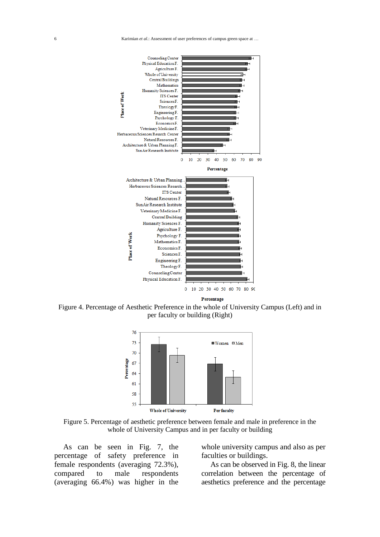

Percentage

Figure 4. Percentage of Aesthetic Preference in the whole of University Campus (Left) and in per faculty or building (Right)



Figure 5. Percentage of aesthetic preference between female and male in preference in the whole of University Campus and in per faculty or building

As can be seen in Fig. 7, the percentage of safety preference in female respondents (averaging 72.3%), compared to male respondents (averaging 66.4%) was higher in the

whole university campus and also as per faculties or buildings.

As can be observed in Fig. 8, the linear correlation between the percentage of aesthetics preference and the percentage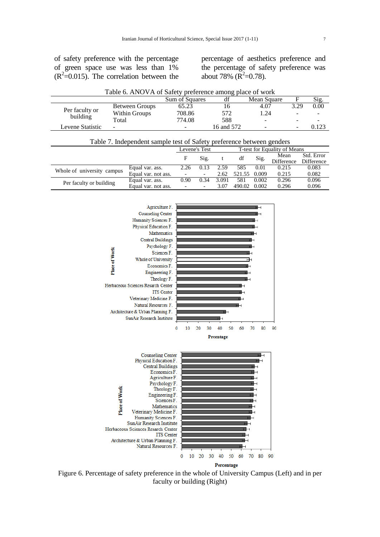of safety preference with the percentage of green space use was less than 1%  $(R^2=0.015)$ . The correlation between the

percentage of aesthetics preference and the percentage of safety preference was about 78% ( $\overline{R}^2$ =0.78).

| Table 6. ANOVA of Safety preference among place of work |                              |                          |            |                          |                          |       |  |  |
|---------------------------------------------------------|------------------------------|--------------------------|------------|--------------------------|--------------------------|-------|--|--|
|                                                         |                              | Sum of Squares           | df         | Mean Square              |                          | Sig.  |  |  |
|                                                         | Between Groups               | 65.23                    | 16         | 4.07                     | 3.29                     | 0.00  |  |  |
| Per faculty or<br>building<br>Total                     | Within Groups                | 708.86                   | 572        | 1.24                     | $\overline{\phantom{a}}$ |       |  |  |
|                                                         |                              | 774.08                   | 588        | $\overline{\phantom{a}}$ | $\overline{\phantom{0}}$ |       |  |  |
| Levene Statistic                                        | $\qquad \qquad \blacksquare$ | $\overline{\phantom{a}}$ | 16 and 572 | $\overline{\phantom{a}}$ | -                        | 0.123 |  |  |

| Table 7. Independent sample test of Safety preference between genders |                     |                |                          |       |        |                              |            |            |
|-----------------------------------------------------------------------|---------------------|----------------|--------------------------|-------|--------|------------------------------|------------|------------|
|                                                                       |                     | Levene's Test  |                          |       |        | T-test for Equality of Means |            |            |
|                                                                       |                     | F              | Sig.                     |       | df     | Sig.                         | Mean       | Std. Error |
|                                                                       |                     |                |                          |       |        |                              | Difference | Difference |
| Whole of university campus                                            | Equal var. ass.     | 2.26           | 0.13                     | 2.59  | 585    | 0.01                         | 0.215      | 0.083      |
|                                                                       | Equal var. not ass. |                | $\overline{\phantom{a}}$ | 2.62  | 521.55 | 0.009                        | 0.215      | 0.082      |
| Per faculty or building                                               | Equal var. ass.     | 0.90           | 0.34                     | 3.091 | 581    | 0.002                        | 0.296      | 0.096      |
|                                                                       | Equal var. not ass. | $\blacksquare$ | $\overline{\phantom{a}}$ | 3.07  | 490.02 | 0.002                        | 0.296      | 0.096      |



Figure 6. Percentage of safety preference in the whole of University Campus (Left) and in per faculty or building (Right)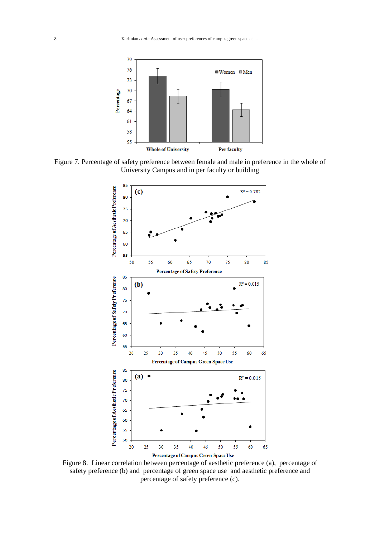8 Karimian *et al*.: Assessment of user preferences of campus green space at …



Figure 7. Percentage of safety preference between female and male in preference in the whole of University Campus and in per faculty or building



Figure 8. Linear correlation between percentage of aesthetic preference (a), percentage of safety preference (b) and percentage of green space use and aesthetic preference and percentage of safety preference (c).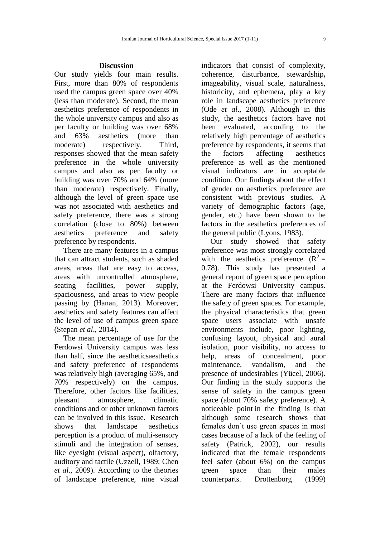## **Discussion**

Our study yields four main results. First, more than 80% of respondents used the campus green space over 40% (less than moderate). Second, the mean aesthetics preference of respondents in the whole university campus and also as per faculty or building was over 68% and 63% aesthetics (more than moderate) respectively. Third, responses showed that the mean safety preference in the whole university campus and also as per faculty or building was over 70% and 64% (more than moderate) respectively. Finally, although the level of green space use was not associated with aesthetics and safety preference, there was a strong correlation (close to 80%) between aesthetics preference and safety preference by respondents.

There are many features in a campus that can attract students, such as shaded areas, areas that are easy to access, areas with uncontrolled atmosphere, seating facilities, power supply, spaciousness, and areas to view people passing by (Hanan, 2013). Moreover, aesthetics and safety features can affect the level of use of campus green space (Stepan *et al*., 2014).

The mean percentage of use for the Ferdowsi University campus was less than half, since the aestheticsaesthetics and safety preference of respondents was relatively high (averaging 65%, and 70% respectively) on the campus, Therefore, other factors like facilities, pleasant atmosphere, climatic conditions and or other unknown factors can be involved in this issue. Research shows that landscape aesthetics perception is a product of multi-sensory stimuli and the integration of senses, like eyesight (visual aspect), olfactory, auditory and tactile (Uzzell, 1989; Chen *et al*., 2009). According to the theories of landscape preference, nine visual

indicators that consist of complexity, coherence, disturbance, stewardship**,**  imageability, visual scale, naturalness, historicity, and ephemera, play a key role in landscape aesthetics preference (Ode *et al*., 2008). Although in this study, the aesthetics factors have not been evaluated, according to the relatively high percentage of aesthetics preference by respondents, it seems that the factors affecting aesthetics preference as well as the mentioned visual indicators are in acceptable condition. Our findings about the effect of gender on aesthetics preference are consistent with previous studies. A variety of demographic factors (age, gender, etc.) have been shown to be factors in the aesthetics preferences of the general public (Lyons, 1983).

Our study showed that safety preference was most strongly correlated with the aesthetics preference  $(R^2 =$ 0.78). This study has presented a general report of green space perception at the Ferdowsi University campus. There are many factors that influence the safety of green spaces. For example, the physical characteristics that green space users associate with unsafe environments include, poor lighting, confusing layout, physical and aural isolation, poor visibility, no access to help, areas of concealment, poor maintenance, vandalism, and the presence of undesirables (Yücel, 2006). Our finding in the study supports the sense of safety in the campus green space (about 70% safety preference). A noticeable point in the finding is that although some research shows that females don't use green spaces in most cases because of a lack of the feeling of safety (Patrick, 2002), our results indicated that the female respondents feel safer (about 6%) on the campus green space than their males counterparts. Drottenborg (1999)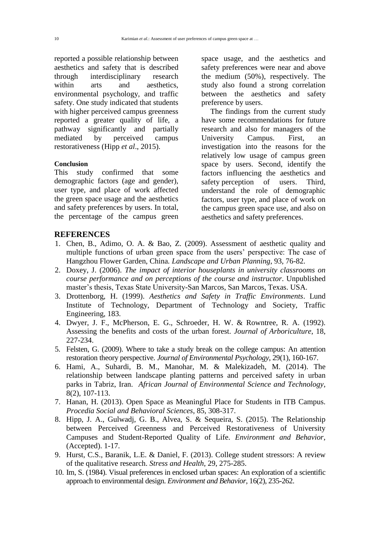reported a possible relationship between aesthetics and safety that is described through interdisciplinary research within arts and aesthetics, environmental psychology, and traffic safety. One study indicated that students with higher perceived campus greenness reported a greater quality of life, a pathway significantly and partially mediated by perceived campus restorativeness (Hipp *et al*., 2015).

## **Conclusion**

This study confirmed that some demographic factors (age and gender), user type, and place of work affected the green space usage and the aesthetics and safety preferences by users. In total, the percentage of the campus green

space usage, and the aesthetics and safety preferences were near and above the medium (50%), respectively. The study also found a strong correlation between the aesthetics and safety preference by users.

The findings from the current study have some recommendations for future research and also for managers of the University Campus. First, an investigation into the reasons for the relatively low usage of campus green space by users. Second, identify the factors influencing the aesthetics and safety perception of users. Third, understand the role of demographic factors, user type, and place of work on the campus green space use, and also on aesthetics and safety preferences.

# **REFERENCES**

- 1. Chen, B., Adimo, O. A. & Bao, Z. (2009). Assessment of aesthetic quality and multiple functions of urban green space from the users' perspective: The case of Hangzhou Flower Garden, China*. Landscape and Urban Planning*, 93, 76-82.
- 2. Doxey, J. (2006). *The impact of interior houseplants in university classrooms on course performance and on perceptions of the course and instructor*. Unpublished master's thesis, Texas State University-San Marcos, San Marcos, Texas. USA.
- 3. Drottenborg, H. (1999). *Aesthetics and Safety in Traffic Environments*. Lund Institute of Technology, Department of Technology and Society, Traffic Engineering, 183.
- 4. Dwyer, J. F., McPherson, E. G., Schroeder, H. W. & Rowntree, R. A. (1992). Assessing the benefits and costs of the urban forest. *Journal of Arboriculture*, 18, 227-234.
- 5. Felsten, G. (2009). Where to take a study break on the college campus: An attention restoration theory perspective. *Journal of Environmental Psychology*, 29(1), 160-167.
- 6. Hami, A., Suhardi, B. M., Manohar, M. & Malekizadeh, M. (2014). The relationship between landscape planting patterns and perceived safety in urban parks in Tabriz, Iran. *African Journal of Environmental Science and Technology*, 8(2), 107-113.
- 7. Hanan, H. (2013). Open Space as Meaningful Place for Students in ITB Campus. *Procedia Social and Behavioral Sciences*, 85, 308-317.
- 8. Hipp, J. A., Gulwadj, G. B., Alvea, S. & Sequeira, S. (2015). The Relationship between Perceived Greenness and Perceived Restorativeness of University Campuses and Student-Reported Quality of Life. *Environment and Behavior*, (Accepted). 1-17.
- 9. Hurst, C.S., Baranik, L.E. & Daniel, F. (2013). College student stressors: A review of the qualitative research. *Stress and Health*, 29, 275-285.
- 10. Im, S. (1984). Visual preferences in enclosed urban spaces: An exploration of a scientific approach to environmental design. *Environment and Behavior*, 16(2), 235-262.